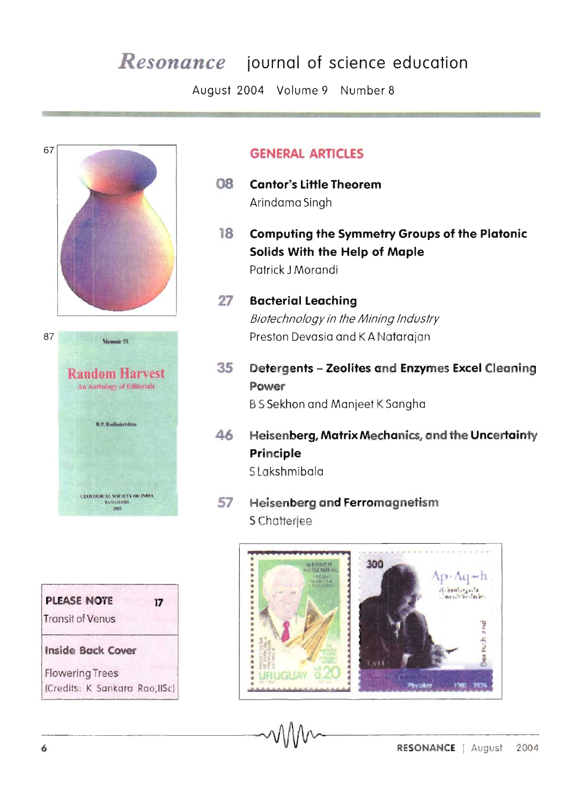# **Resonance** journal of science education

August 2004 Volume 9 Number 8



| <b>PLEASE NOTE</b><br><b>Transit of Venus</b> | 17 |
|-----------------------------------------------|----|
| <b>Inside Back Cover</b>                      |    |
| <b>Flowering Trees</b>                        |    |
| (Credits: K Sankara Rao, IISc)                |    |

## **GENERAL ARTICLES**

- 80 **Cantor's Little Theorem** Arindama Singh
- **Computing the Symmetry Groups of the Platonic** 18 Solids With the Help of Maple Patrick J Morandi
- 27 **Bacterial Leaching** Biotechnology in the Mining Industry Preston Devasia and K A Natarajan
- Detergents Zeolites and Enzymes Excel Cleaning 35 Power **B S Sekhon and Manjeet K Sangha**
- Heisenberg, Matrix Mechanics, and the Uncertainty 46 Principle S Lakshmibala
- **Heisenberg and Ferromagnetism** 57 S Chatterjee